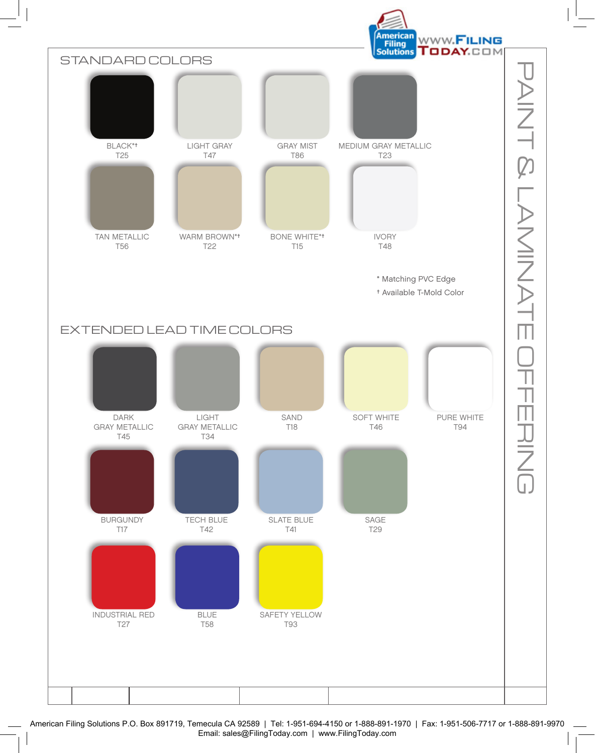